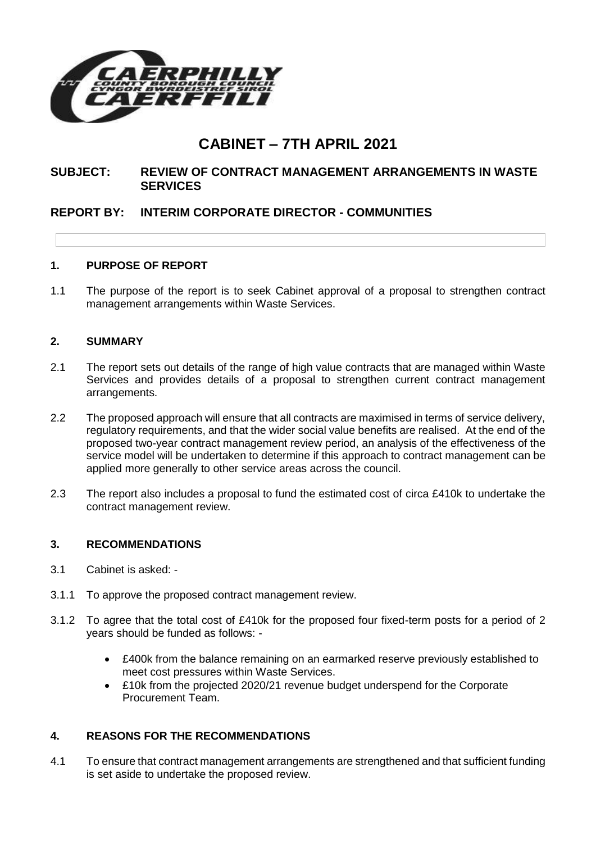

# **CABINET – 7TH APRIL 2021**

# **SUBJECT: REVIEW OF CONTRACT MANAGEMENT ARRANGEMENTS IN WASTE SERVICES**

# **REPORT BY: INTERIM CORPORATE DIRECTOR - COMMUNITIES**

## **1. PURPOSE OF REPORT**

1.1 The purpose of the report is to seek Cabinet approval of a proposal to strengthen contract management arrangements within Waste Services.

### **2. SUMMARY**

- 2.1 The report sets out details of the range of high value contracts that are managed within Waste Services and provides details of a proposal to strengthen current contract management arrangements.
- 2.2 The proposed approach will ensure that all contracts are maximised in terms of service delivery, regulatory requirements, and that the wider social value benefits are realised. At the end of the proposed two-year contract management review period, an analysis of the effectiveness of the service model will be undertaken to determine if this approach to contract management can be applied more generally to other service areas across the council.
- 2.3 The report also includes a proposal to fund the estimated cost of circa £410k to undertake the contract management review.

### **3. RECOMMENDATIONS**

- 3.1 Cabinet is asked: -
- 3.1.1 To approve the proposed contract management review.
- 3.1.2 To agree that the total cost of £410k for the proposed four fixed-term posts for a period of 2 years should be funded as follows: -
	- £400k from the balance remaining on an earmarked reserve previously established to meet cost pressures within Waste Services.
	- £10k from the projected 2020/21 revenue budget underspend for the Corporate Procurement Team.

## **4. REASONS FOR THE RECOMMENDATIONS**

4.1 To ensure that contract management arrangements are strengthened and that sufficient funding is set aside to undertake the proposed review.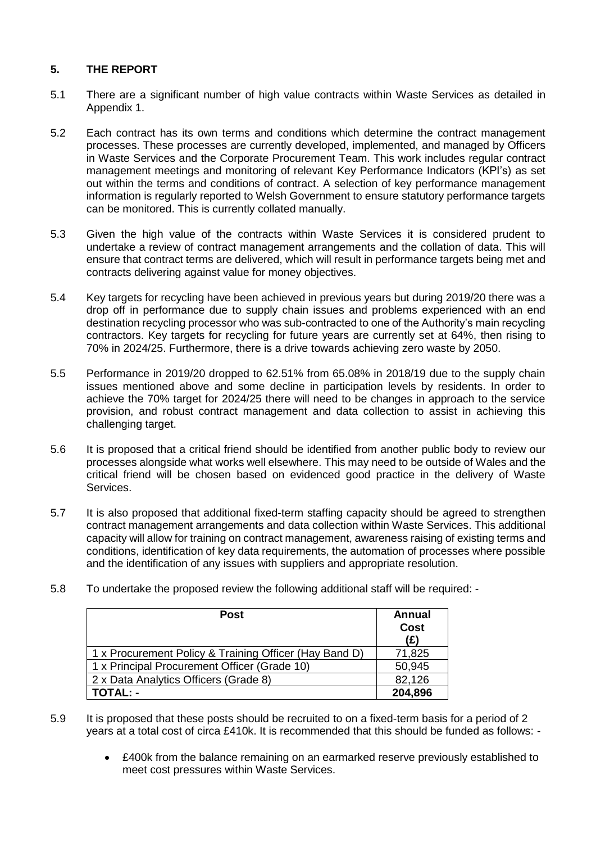## **5. THE REPORT**

- 5.1 There are a significant number of high value contracts within Waste Services as detailed in Appendix 1.
- 5.2 Each contract has its own terms and conditions which determine the contract management processes. These processes are currently developed, implemented, and managed by Officers in Waste Services and the Corporate Procurement Team. This work includes regular contract management meetings and monitoring of relevant Key Performance Indicators (KPI's) as set out within the terms and conditions of contract. A selection of key performance management information is regularly reported to Welsh Government to ensure statutory performance targets can be monitored. This is currently collated manually.
- 5.3 Given the high value of the contracts within Waste Services it is considered prudent to undertake a review of contract management arrangements and the collation of data. This will ensure that contract terms are delivered, which will result in performance targets being met and contracts delivering against value for money objectives.
- 5.4 Key targets for recycling have been achieved in previous years but during 2019/20 there was a drop off in performance due to supply chain issues and problems experienced with an end destination recycling processor who was sub-contracted to one of the Authority's main recycling contractors. Key targets for recycling for future years are currently set at 64%, then rising to 70% in 2024/25. Furthermore, there is a drive towards achieving zero waste by 2050.
- 5.5 Performance in 2019/20 dropped to 62.51% from 65.08% in 2018/19 due to the supply chain issues mentioned above and some decline in participation levels by residents. In order to achieve the 70% target for 2024/25 there will need to be changes in approach to the service provision, and robust contract management and data collection to assist in achieving this challenging target.
- 5.6 It is proposed that a critical friend should be identified from another public body to review our processes alongside what works well elsewhere. This may need to be outside of Wales and the critical friend will be chosen based on evidenced good practice in the delivery of Waste Services.
- 5.7 It is also proposed that additional fixed-term staffing capacity should be agreed to strengthen contract management arrangements and data collection within Waste Services. This additional capacity will allow for training on contract management, awareness raising of existing terms and conditions, identification of key data requirements, the automation of processes where possible and the identification of any issues with suppliers and appropriate resolution.
- 5.8 To undertake the proposed review the following additional staff will be required: -

| <b>Post</b>                                            | <b>Annual</b><br><b>Cost</b><br>(E) |
|--------------------------------------------------------|-------------------------------------|
| 1 x Procurement Policy & Training Officer (Hay Band D) | 71,825                              |
| 1 x Principal Procurement Officer (Grade 10)           | 50,945                              |
| 2 x Data Analytics Officers (Grade 8)                  | 82,126                              |
| TOTAL: -                                               | 204,896                             |

- 5.9 It is proposed that these posts should be recruited to on a fixed-term basis for a period of 2 years at a total cost of circa £410k. It is recommended that this should be funded as follows: -
	- £400k from the balance remaining on an earmarked reserve previously established to meet cost pressures within Waste Services.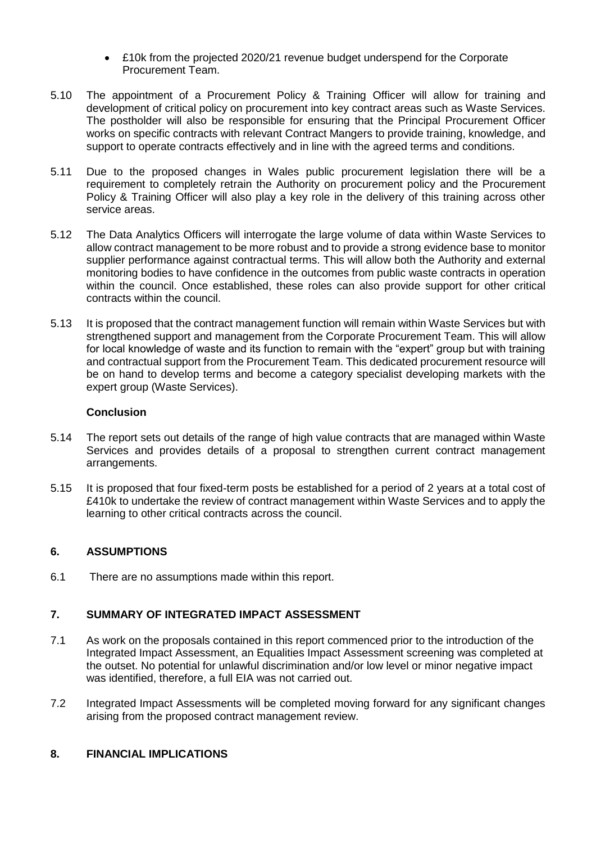- £10k from the projected 2020/21 revenue budget underspend for the Corporate Procurement Team.
- 5.10 The appointment of a Procurement Policy & Training Officer will allow for training and development of critical policy on procurement into key contract areas such as Waste Services. The postholder will also be responsible for ensuring that the Principal Procurement Officer works on specific contracts with relevant Contract Mangers to provide training, knowledge, and support to operate contracts effectively and in line with the agreed terms and conditions.
- 5.11 Due to the proposed changes in Wales public procurement legislation there will be a requirement to completely retrain the Authority on procurement policy and the Procurement Policy & Training Officer will also play a key role in the delivery of this training across other service areas.
- 5.12 The Data Analytics Officers will interrogate the large volume of data within Waste Services to allow contract management to be more robust and to provide a strong evidence base to monitor supplier performance against contractual terms. This will allow both the Authority and external monitoring bodies to have confidence in the outcomes from public waste contracts in operation within the council. Once established, these roles can also provide support for other critical contracts within the council.
- 5.13 It is proposed that the contract management function will remain within Waste Services but with strengthened support and management from the Corporate Procurement Team. This will allow for local knowledge of waste and its function to remain with the "expert" group but with training and contractual support from the Procurement Team. This dedicated procurement resource will be on hand to develop terms and become a category specialist developing markets with the expert group (Waste Services).

## **Conclusion**

- 5.14 The report sets out details of the range of high value contracts that are managed within Waste Services and provides details of a proposal to strengthen current contract management arrangements.
- 5.15 It is proposed that four fixed-term posts be established for a period of 2 years at a total cost of £410k to undertake the review of contract management within Waste Services and to apply the learning to other critical contracts across the council.

# **6. ASSUMPTIONS**

6.1 There are no assumptions made within this report.

# **7. SUMMARY OF INTEGRATED IMPACT ASSESSMENT**

- 7.1 As work on the proposals contained in this report commenced prior to the introduction of the Integrated Impact Assessment, an Equalities Impact Assessment screening was completed at the outset. No potential for unlawful discrimination and/or low level or minor negative impact was identified, therefore, a full EIA was not carried out.
- 7.2 Integrated Impact Assessments will be completed moving forward for any significant changes arising from the proposed contract management review.

# **8. FINANCIAL IMPLICATIONS**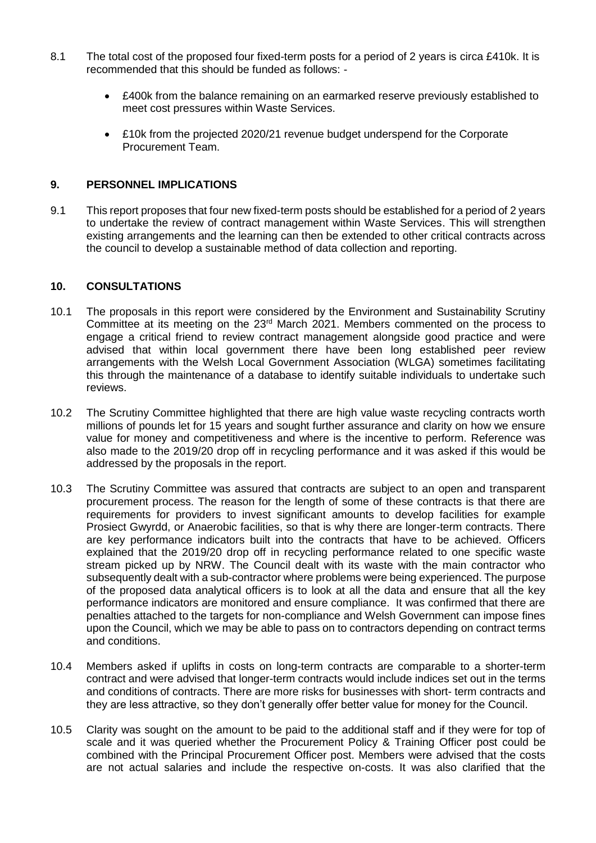- 8.1 The total cost of the proposed four fixed-term posts for a period of 2 years is circa £410k. It is recommended that this should be funded as follows: -
	- £400k from the balance remaining on an earmarked reserve previously established to meet cost pressures within Waste Services.
	- £10k from the projected 2020/21 revenue budget underspend for the Corporate Procurement Team.

### **9. PERSONNEL IMPLICATIONS**

9.1 This report proposes that four new fixed-term posts should be established for a period of 2 years to undertake the review of contract management within Waste Services. This will strengthen existing arrangements and the learning can then be extended to other critical contracts across the council to develop a sustainable method of data collection and reporting.

#### **10. CONSULTATIONS**

- 10.1 The proposals in this report were considered by the Environment and Sustainability Scrutiny Committee at its meeting on the 23<sup>rd</sup> March 2021. Members commented on the process to engage a critical friend to review contract management alongside good practice and were advised that within local government there have been long established peer review arrangements with the Welsh Local Government Association (WLGA) sometimes facilitating this through the maintenance of a database to identify suitable individuals to undertake such reviews.
- 10.2 The Scrutiny Committee highlighted that there are high value waste recycling contracts worth millions of pounds let for 15 years and sought further assurance and clarity on how we ensure value for money and competitiveness and where is the incentive to perform. Reference was also made to the 2019/20 drop off in recycling performance and it was asked if this would be addressed by the proposals in the report.
- 10.3 The Scrutiny Committee was assured that contracts are subject to an open and transparent procurement process. The reason for the length of some of these contracts is that there are requirements for providers to invest significant amounts to develop facilities for example Prosiect Gwyrdd, or Anaerobic facilities, so that is why there are longer-term contracts. There are key performance indicators built into the contracts that have to be achieved. Officers explained that the 2019/20 drop off in recycling performance related to one specific waste stream picked up by NRW. The Council dealt with its waste with the main contractor who subsequently dealt with a sub-contractor where problems were being experienced. The purpose of the proposed data analytical officers is to look at all the data and ensure that all the key performance indicators are monitored and ensure compliance. It was confirmed that there are penalties attached to the targets for non-compliance and Welsh Government can impose fines upon the Council, which we may be able to pass on to contractors depending on contract terms and conditions.
- 10.4 Members asked if uplifts in costs on long-term contracts are comparable to a shorter-term contract and were advised that longer-term contracts would include indices set out in the terms and conditions of contracts. There are more risks for businesses with short- term contracts and they are less attractive, so they don't generally offer better value for money for the Council.
- 10.5 Clarity was sought on the amount to be paid to the additional staff and if they were for top of scale and it was queried whether the Procurement Policy & Training Officer post could be combined with the Principal Procurement Officer post. Members were advised that the costs are not actual salaries and include the respective on-costs. It was also clarified that the